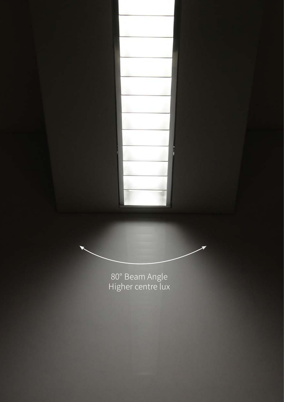80° Beam Angle<br>Higher centre lux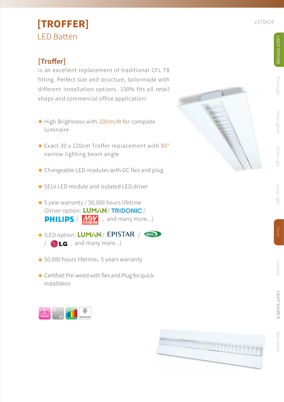## [TROFFER] LED Batten

### **[Troffer]**

is an excellent replacement of traditional CFL T8 fitting. Perfect size and structure, tailormade with different installation options. 100% fits all retail shops and commercial office application!

- $\blacklozenge$  High Brightness with  $100 \text{lm/W}$  for complete luminaire
- $\blacklozenge$  Exact 30 x 120cm Troffer replacement with 80 $^{\circ}$ narrow lighting beam angle
- $\blacklozenge$  Changeable LED modules with DC flex and plug
- ◆ SELV LED module and isolated LED driver
- $\blacklozenge$  5 year warranty / 50,000 hours lifetime (Driver option: LUMAN / TRIDONIC / **PHILIPS** /  $\frac{V}{N}$  , and many more...)
- $\blacklozenge$  (LED option: LUMAN / LPISTAR )  $\sqrt{a}$  **LG** , and many more...)
- ◆ 50,000 hours lifetime,5 years warranty
- ◆ Certified Pre-wired with flex and Plug for quick installation







Track Light

Spot lamps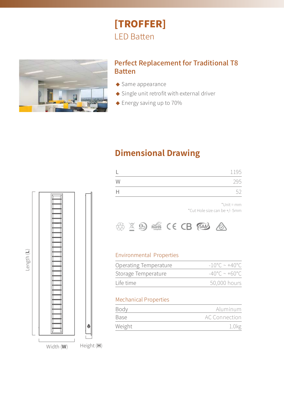# [TROFFER] LED Batten



### Perfect Replacement for Traditional T8 Batten

- ◆ Same appearance
- ◆ Single unit retrofit with external driver
- ◆ Energy saving up to 70%

### **Dimensional Drawing**

|   | 1195 |
|---|------|
| W | 295  |
|   | -51  |

\*Unit = mm \*Cut Hole size can be +/- 5mm



#### Environmental Properties

| Operating Temperature | $-10^{\circ}$ C ~ +40 $^{\circ}$ C |
|-----------------------|------------------------------------|
| Storage Temperature   | $-40^{\circ}$ C ~ +60°C.           |
| Life time             | 50,000 hours                       |

#### Mechanical Properties

| Body   | Aluminum      |
|--------|---------------|
| Base   | AC Connection |
| Weight |               |